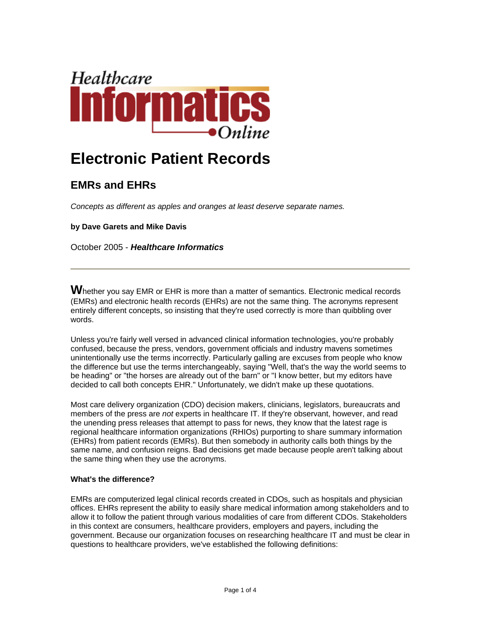

# **Electronic Patient Records**

# **EMRs and EHRs**

*Concepts as different as apples and oranges at least deserve separate names.*

**by Dave Garets and Mike Davis**

October 2005 - *Healthcare Informatics*

**W**hether you say EMR or EHR is more than a matter of semantics. Electronic medical records (EMRs) and electronic health records (EHRs) are not the same thing. The acronyms represent entirely different concepts, so insisting that they're used correctly is more than quibbling over words.

Unless you're fairly well versed in advanced clinical information technologies, you're probably confused, because the press, vendors, government officials and industry mavens sometimes unintentionally use the terms incorrectly. Particularly galling are excuses from people who know the difference but use the terms interchangeably, saying "Well, that's the way the world seems to be heading" or "the horses are already out of the barn" or "I know better, but my editors have decided to call both concepts EHR." Unfortunately, we didn't make up these quotations.

Most care delivery organization (CDO) decision makers, clinicians, legislators, bureaucrats and members of the press are *not* experts in healthcare IT. If they're observant, however, and read the unending press releases that attempt to pass for news, they know that the latest rage is regional healthcare information organizations (RHIOs) purporting to share summary information (EHRs) from patient records (EMRs). But then somebody in authority calls both things by the same name, and confusion reigns. Bad decisions get made because people aren't talking about the same thing when they use the acronyms.

## **What's the difference?**

EMRs are computerized legal clinical records created in CDOs, such as hospitals and physician offices. EHRs represent the ability to easily share medical information among stakeholders and to allow it to follow the patient through various modalities of care from different CDOs. Stakeholders in this context are consumers, healthcare providers, employers and payers, including the government. Because our organization focuses on researching healthcare IT and must be clear in questions to healthcare providers, we've established the following definitions: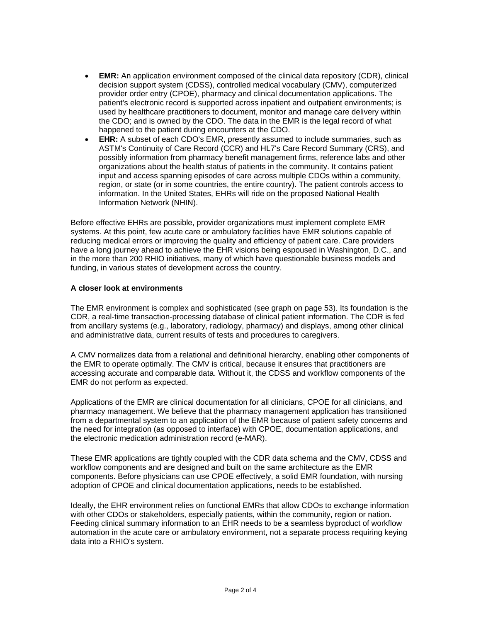- **EMR:** An application environment composed of the clinical data repository (CDR), clinical decision support system (CDSS), controlled medical vocabulary (CMV), computerized provider order entry (CPOE), pharmacy and clinical documentation applications. The patient's electronic record is supported across inpatient and outpatient environments; is used by healthcare practitioners to document, monitor and manage care delivery within the CDO; and is owned by the CDO. The data in the EMR is the legal record of what happened to the patient during encounters at the CDO.
- **EHR:** A subset of each CDO's EMR, presently assumed to include summaries, such as ASTM's Continuity of Care Record (CCR) and HL7's Care Record Summary (CRS), and possibly information from pharmacy benefit management firms, reference labs and other organizations about the health status of patients in the community. It contains patient input and access spanning episodes of care across multiple CDOs within a community, region, or state (or in some countries, the entire country). The patient controls access to information. In the United States, EHRs will ride on the proposed National Health Information Network (NHIN).

Before effective EHRs are possible, provider organizations must implement complete EMR systems. At this point, few acute care or ambulatory facilities have EMR solutions capable of reducing medical errors or improving the quality and efficiency of patient care. Care providers have a long journey ahead to achieve the EHR visions being espoused in Washington, D.C., and in the more than 200 RHIO initiatives, many of which have questionable business models and funding, in various states of development across the country.

### **A closer look at environments**

The EMR environment is complex and sophisticated (see graph on page 53). Its foundation is the CDR, a real-time transaction-processing database of clinical patient information. The CDR is fed from ancillary systems (e.g., laboratory, radiology, pharmacy) and displays, among other clinical and administrative data, current results of tests and procedures to caregivers.

A CMV normalizes data from a relational and definitional hierarchy, enabling other components of the EMR to operate optimally. The CMV is critical, because it ensures that practitioners are accessing accurate and comparable data. Without it, the CDSS and workflow components of the EMR do not perform as expected.

Applications of the EMR are clinical documentation for all clinicians, CPOE for all clinicians, and pharmacy management. We believe that the pharmacy management application has transitioned from a departmental system to an application of the EMR because of patient safety concerns and the need for integration (as opposed to interface) with CPOE, documentation applications, and the electronic medication administration record (e-MAR).

These EMR applications are tightly coupled with the CDR data schema and the CMV, CDSS and workflow components and are designed and built on the same architecture as the EMR components. Before physicians can use CPOE effectively, a solid EMR foundation, with nursing adoption of CPOE and clinical documentation applications, needs to be established.

Ideally, the EHR environment relies on functional EMRs that allow CDOs to exchange information with other CDOs or stakeholders, especially patients, within the community, region or nation. Feeding clinical summary information to an EHR needs to be a seamless byproduct of workflow automation in the acute care or ambulatory environment, not a separate process requiring keying data into a RHIO's system.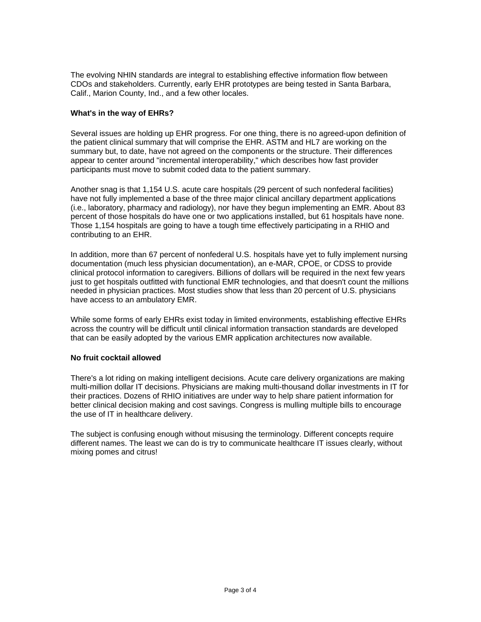The evolving NHIN standards are integral to establishing effective information flow between CDOs and stakeholders. Currently, early EHR prototypes are being tested in Santa Barbara, Calif., Marion County, Ind., and a few other locales.

#### **What's in the way of EHRs?**

Several issues are holding up EHR progress. For one thing, there is no agreed-upon definition of the patient clinical summary that will comprise the EHR. ASTM and HL7 are working on the summary but, to date, have not agreed on the components or the structure. Their differences appear to center around "incremental interoperability," which describes how fast provider participants must move to submit coded data to the patient summary.

Another snag is that 1,154 U.S. acute care hospitals (29 percent of such nonfederal facilities) have not fully implemented a base of the three major clinical ancillary department applications (i.e., laboratory, pharmacy and radiology), nor have they begun implementing an EMR. About 83 percent of those hospitals do have one or two applications installed, but 61 hospitals have none. Those 1,154 hospitals are going to have a tough time effectively participating in a RHIO and contributing to an EHR.

In addition, more than 67 percent of nonfederal U.S. hospitals have yet to fully implement nursing documentation (much less physician documentation), an e-MAR, CPOE, or CDSS to provide clinical protocol information to caregivers. Billions of dollars will be required in the next few years just to get hospitals outfitted with functional EMR technologies, and that doesn't count the millions needed in physician practices. Most studies show that less than 20 percent of U.S. physicians have access to an ambulatory EMR.

While some forms of early EHRs exist today in limited environments, establishing effective EHRs across the country will be difficult until clinical information transaction standards are developed that can be easily adopted by the various EMR application architectures now available.

#### **No fruit cocktail allowed**

There's a lot riding on making intelligent decisions. Acute care delivery organizations are making multi-million dollar IT decisions. Physicians are making multi-thousand dollar investments in IT for their practices. Dozens of RHIO initiatives are under way to help share patient information for better clinical decision making and cost savings. Congress is mulling multiple bills to encourage the use of IT in healthcare delivery.

The subject is confusing enough without misusing the terminology. Different concepts require different names. The least we can do is try to communicate healthcare IT issues clearly, without mixing pomes and citrus!